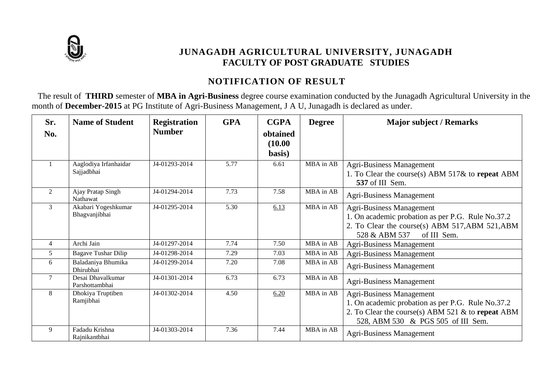

## **JUNAGADH AGRICULTURAL UNIVERSITY, JUNAGADH FACULTY OF POST GRADUATE STUDIES**

# **NOTIFICATION OF RESULT**

The result of **THIRD** semester of **MBA in Agri-Business** degree course examination conducted by the Junagadh Agricultural University in the month of **December-2015** at PG Institute of Agri-Business Management, J A U, Junagadh is declared as under.

| Sr.<br>No.     | <b>Name of Student</b>               | <b>Registration</b><br><b>Number</b> | <b>GPA</b> | <b>CGPA</b><br>obtained<br>(10.00)<br>basis) | <b>Degree</b> | <b>Major subject / Remarks</b>                                                                                                                                                     |
|----------------|--------------------------------------|--------------------------------------|------------|----------------------------------------------|---------------|------------------------------------------------------------------------------------------------------------------------------------------------------------------------------------|
|                | Aaglodiya Irfanhaidar<br>Sajjadbhai  | J4-01293-2014                        | 5.77       | 6.61                                         | MBA in AB     | Agri-Business Management<br>1. To Clear the course(s) ABM $517\&$ to repeat ABM<br>537 of III Sem.                                                                                 |
| 2              | Ajay Pratap Singh<br>Nathawat        | J4-01294-2014                        | 7.73       | 7.58                                         | MBA in AB     | <b>Agri-Business Management</b>                                                                                                                                                    |
| 3              | Akabari Yogeshkumar<br>Bhagvanjibhai | J4-01295-2014                        | 5.30       | 6.13                                         | MBA in AB     | <b>Agri-Business Management</b><br>1. On academic probation as per P.G. Rule No.37.2<br>2. To Clear the course(s) ABM 517, ABM 521, ABM<br>of III Sem.<br>528 & ABM 537            |
| $\overline{4}$ | Archi Jain                           | J4-01297-2014                        | 7.74       | 7.50                                         | MBA in AB     | <b>Agri-Business Management</b>                                                                                                                                                    |
| $\mathfrak{H}$ | <b>Bagave Tushar Dilip</b>           | J4-01298-2014                        | 7.29       | 7.03                                         | MBA in AB     | <b>Agri-Business Management</b>                                                                                                                                                    |
| 6              | Baladaniya Bhumika<br>Dhirubhai      | J4-01299-2014                        | 7.20       | 7.08                                         | MBA in AB     | <b>Agri-Business Management</b>                                                                                                                                                    |
| $\tau$         | Desai Dhavalkumar<br>Parshottambhai  | J4-01301-2014                        | 6.73       | 6.73                                         | MBA in AB     | Agri-Business Management                                                                                                                                                           |
| 8              | Dhokiya Truptiben<br>Ramjibhai       | J4-01302-2014                        | 4.50       | 6.20                                         | MBA in AB     | <b>Agri-Business Management</b><br>1. On academic probation as per P.G. Rule No.37.2<br>2. To Clear the course(s) ABM 521 $\&$ to repeat ABM<br>528, ABM 530 & PGS 505 of III Sem. |
| 9              | Fadadu Krishna<br>Rajnikantbhai      | J4-01303-2014                        | 7.36       | 7.44                                         | MBA in AB     | <b>Agri-Business Management</b>                                                                                                                                                    |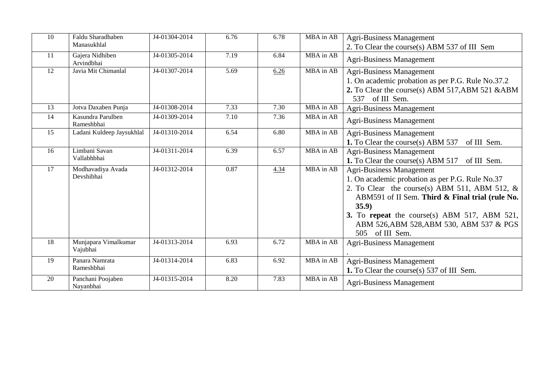| 10 | Faldu Sharadhaben<br>Manasukhlal | J4-01304-2014 | 6.76              | 6.78 | MBA in AB | <b>Agri-Business Management</b><br>2. To Clear the course(s) ABM 537 of III Sem                                                                                                                                                                                                                              |
|----|----------------------------------|---------------|-------------------|------|-----------|--------------------------------------------------------------------------------------------------------------------------------------------------------------------------------------------------------------------------------------------------------------------------------------------------------------|
| 11 | Gajera Nidhiben<br>Arvindbhai    | J4-01305-2014 | 7.19              | 6.84 | MBA in AB | <b>Agri-Business Management</b>                                                                                                                                                                                                                                                                              |
| 12 | Javia Mit Chimanlal              | J4-01307-2014 | $\overline{5.69}$ | 6.26 | MBA in AB | <b>Agri-Business Management</b><br>1. On academic probation as per P.G. Rule No.37.2<br>2. To Clear the course(s) ABM 517, ABM 521 & ABM<br>537 of III Sem.                                                                                                                                                  |
| 13 | Jotva Daxaben Punja              | J4-01308-2014 | 7.33              | 7.30 | MBA in AB | Agri-Business Management                                                                                                                                                                                                                                                                                     |
| 14 | Kasundra Parulben<br>Rameshbhai  | J4-01309-2014 | 7.10              | 7.36 | MBA in AB | <b>Agri-Business Management</b>                                                                                                                                                                                                                                                                              |
| 15 | Ladani Kuldeep Jaysukhlal        | J4-01310-2014 | 6.54              | 6.80 | MBA in AB | <b>Agri-Business Management</b><br><b>1.</b> To Clear the course(s) ABM 537<br>of III Sem.                                                                                                                                                                                                                   |
| 16 | Limbani Savan<br>Vallabhbhai     | J4-01311-2014 | 6.39              | 6.57 | MBA in AB | <b>Agri-Business Management</b><br>1. To Clear the course(s) ABM 517 of III Sem.                                                                                                                                                                                                                             |
| 17 | Modhavadiya Avada<br>Devshibhai  | J4-01312-2014 | 0.87              | 4.34 | MBA in AB | Agri-Business Management<br>1. On academic probation as per P.G. Rule No.37<br>2. To Clear the course(s) ABM 511, ABM 512, $&$<br>ABM591 of II Sem. Third & Final trial (rule No.<br>35.9)<br>3. To repeat the course(s) ABM 517, ABM 521,<br>ABM 526, ABM 528, ABM 530, ABM 537 & PGS<br>of III Sem.<br>505 |
| 18 | Munjapara Vimalkumar<br>Vajubhai | J4-01313-2014 | 6.93              | 6.72 | MBA in AB | <b>Agri-Business Management</b>                                                                                                                                                                                                                                                                              |
| 19 | Panara Namrata<br>Rameshbhai     | J4-01314-2014 | 6.83              | 6.92 | MBA in AB | <b>Agri-Business Management</b><br>1. To Clear the course(s) 537 of III Sem.                                                                                                                                                                                                                                 |
| 20 | Panchani Poojaben<br>Nayanbhai   | J4-01315-2014 | 8.20              | 7.83 | MBA in AB | <b>Agri-Business Management</b>                                                                                                                                                                                                                                                                              |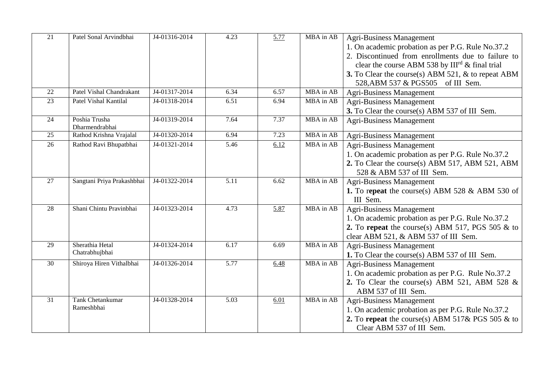| 21              | Patel Sonal Arvindbhai                | J4-01316-2014 | 4.23              | 5.77 | MBA in AB | <b>Agri-Business Management</b><br>1. On academic probation as per P.G. Rule No.37.2<br>2. Discontinued from enrollments due to failure to<br>clear the course ABM 538 by $III^{rd}$ & final trial<br>3. To Clear the course(s) ABM 521, & to repeat ABM<br>528, ABM 537 & PGS505 of III Sem. |
|-----------------|---------------------------------------|---------------|-------------------|------|-----------|-----------------------------------------------------------------------------------------------------------------------------------------------------------------------------------------------------------------------------------------------------------------------------------------------|
| 22              | Patel Vishal Chandrakant              | J4-01317-2014 | 6.34              | 6.57 | MBA in AB | <b>Agri-Business Management</b>                                                                                                                                                                                                                                                               |
| 23              | Patel Vishal Kantilal                 | J4-01318-2014 | 6.51              | 6.94 | MBA in AB | <b>Agri-Business Management</b><br>3. To Clear the course(s) ABM 537 of III Sem.                                                                                                                                                                                                              |
| 24              | Poshia Trusha<br>Dharmendrabhai       | J4-01319-2014 | 7.64              | 7.37 | MBA in AB | <b>Agri-Business Management</b>                                                                                                                                                                                                                                                               |
| 25              | Rathod Krishna Vrajalal               | J4-01320-2014 | 6.94              | 7.23 | MBA in AB | Agri-Business Management                                                                                                                                                                                                                                                                      |
| 26              | Rathod Ravi Bhupatbhai                | J4-01321-2014 | 5.46              | 6.12 | MBA in AB | <b>Agri-Business Management</b><br>1. On academic probation as per P.G. Rule No.37.2<br>2. To Clear the course(s) ABM 517, ABM 521, ABM<br>528 & ABM 537 of III Sem.                                                                                                                          |
| 27              | Sangtani Priya Prakashbhai            | J4-01322-2014 | 5.11              | 6.62 | MBA in AB | <b>Agri-Business Management</b><br>1. To repeat the course(s) ABM 528 $&$ ABM 530 of<br>III Sem.                                                                                                                                                                                              |
| 28              | Shani Chintu Pravinbhai               | J4-01323-2014 | 4.73              | 5.87 | MBA in AB | <b>Agri-Business Management</b><br>1. On academic probation as per P.G. Rule No.37.2<br>2. To repeat the course(s) ABM 517, PGS 505 $\&$ to<br>clear ABM 521, & ABM 537 of III Sem.                                                                                                           |
| 29              | Sherathia Hetal<br>Chatrabhujbhai     | J4-01324-2014 | 6.17              | 6.69 | MBA in AB | <b>Agri-Business Management</b><br>1. To Clear the course(s) ABM 537 of III Sem.                                                                                                                                                                                                              |
| 30              | Shiroya Hiren Vithalbhai              | J4-01326-2014 | 5.77              | 6.48 | MBA in AB | <b>Agri-Business Management</b><br>1. On academic probation as per P.G. Rule No.37.2<br>2. To Clear the course(s) ABM 521, ABM 528 $\&$<br>ABM 537 of III Sem.                                                                                                                                |
| $\overline{31}$ | <b>Tank Chetankumar</b><br>Rameshbhai | J4-01328-2014 | $\overline{5.03}$ | 6.01 | MBA in AB | <b>Agri-Business Management</b><br>1. On academic probation as per P.G. Rule No.37.2<br>2. To repeat the course(s) ABM 517& PGS 505 & to<br>Clear ABM 537 of III Sem.                                                                                                                         |